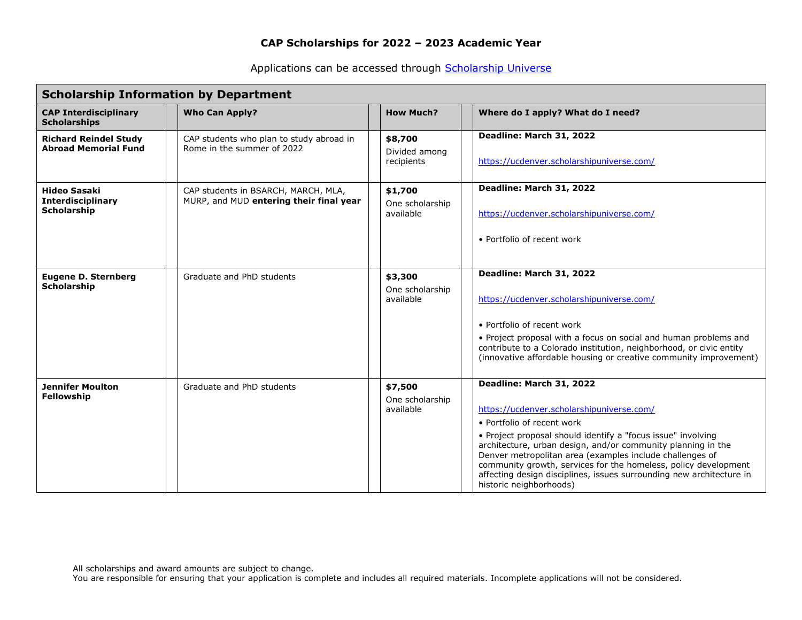Applications can be accessed through [Scholarship Universe](https://ucdenver.scholarshipuniverse.com/)

| <b>Scholarship Information by Department</b>                          |                                                                                |                                         |                                                                                                                                                                                                                                                                                                                                                                                                                                                                       |  |  |  |  |  |
|-----------------------------------------------------------------------|--------------------------------------------------------------------------------|-----------------------------------------|-----------------------------------------------------------------------------------------------------------------------------------------------------------------------------------------------------------------------------------------------------------------------------------------------------------------------------------------------------------------------------------------------------------------------------------------------------------------------|--|--|--|--|--|
| <b>CAP Interdisciplinary</b><br><b>Scholarships</b>                   | <b>Who Can Apply?</b>                                                          | <b>How Much?</b>                        | Where do I apply? What do I need?                                                                                                                                                                                                                                                                                                                                                                                                                                     |  |  |  |  |  |
| <b>Richard Reindel Study</b><br><b>Abroad Memorial Fund</b>           | CAP students who plan to study abroad in<br>Rome in the summer of 2022         | \$8,700<br>Divided among<br>recipients  | Deadline: March 31, 2022<br>https://ucdenver.scholarshipuniverse.com/                                                                                                                                                                                                                                                                                                                                                                                                 |  |  |  |  |  |
| <b>Hideo Sasaki</b><br><b>Interdisciplinary</b><br><b>Scholarship</b> | CAP students in BSARCH, MARCH, MLA,<br>MURP, and MUD entering their final year | \$1,700<br>One scholarship<br>available | Deadline: March 31, 2022<br>https://ucdenver.scholarshipuniverse.com/<br>• Portfolio of recent work                                                                                                                                                                                                                                                                                                                                                                   |  |  |  |  |  |
| <b>Eugene D. Sternberg</b><br>Scholarship                             | Graduate and PhD students                                                      | \$3,300<br>One scholarship<br>available | Deadline: March 31, 2022<br>https://ucdenver.scholarshipuniverse.com/<br>• Portfolio of recent work<br>• Project proposal with a focus on social and human problems and<br>contribute to a Colorado institution, neighborhood, or civic entity<br>(innovative affordable housing or creative community improvement)                                                                                                                                                   |  |  |  |  |  |
| <b>Jennifer Moulton</b><br>Fellowship                                 | Graduate and PhD students                                                      | \$7,500<br>One scholarship<br>available | Deadline: March 31, 2022<br>https://ucdenver.scholarshipuniverse.com/<br>• Portfolio of recent work<br>• Project proposal should identify a "focus issue" involving<br>architecture, urban design, and/or community planning in the<br>Denver metropolitan area (examples include challenges of<br>community growth, services for the homeless, policy development<br>affecting design disciplines, issues surrounding new architecture in<br>historic neighborhoods) |  |  |  |  |  |

All scholarships and award amounts are subject to change.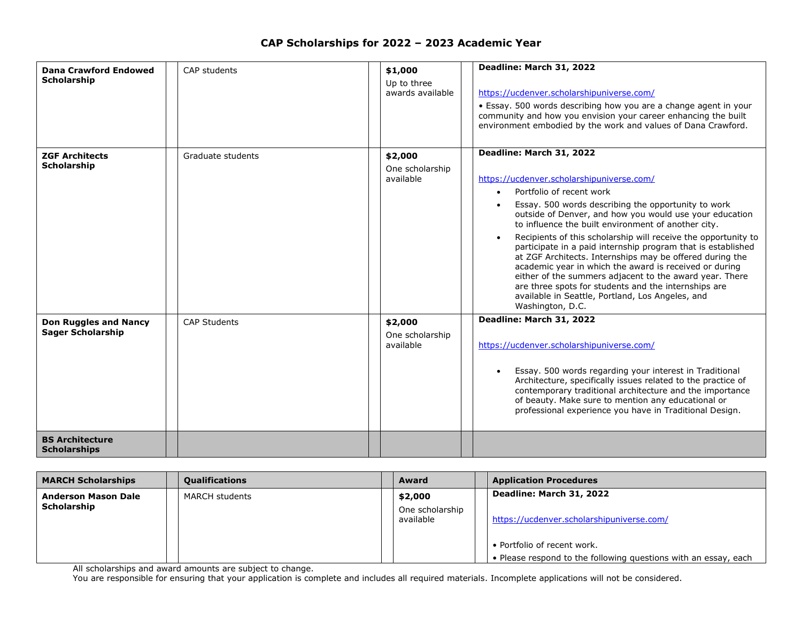| <b>Dana Crawford Endowed</b><br><b>Scholarship</b>       | CAP students        | \$1,000<br>Up to three<br>awards available | Deadline: March 31, 2022<br>https://ucdenver.scholarshipuniverse.com/<br>• Essay. 500 words describing how you are a change agent in your<br>community and how you envision your career enhancing the built<br>environment embodied by the work and values of Dana Crawford.                                                                                                                                                                                                                                                                                                                                                                                                                                                               |
|----------------------------------------------------------|---------------------|--------------------------------------------|--------------------------------------------------------------------------------------------------------------------------------------------------------------------------------------------------------------------------------------------------------------------------------------------------------------------------------------------------------------------------------------------------------------------------------------------------------------------------------------------------------------------------------------------------------------------------------------------------------------------------------------------------------------------------------------------------------------------------------------------|
| <b>ZGF Architects</b><br>Scholarship                     | Graduate students   | \$2,000<br>One scholarship<br>available    | Deadline: March 31, 2022<br>https://ucdenver.scholarshipuniverse.com/<br>Portfolio of recent work<br>$\bullet$<br>Essay. 500 words describing the opportunity to work<br>outside of Denver, and how you would use your education<br>to influence the built environment of another city.<br>Recipients of this scholarship will receive the opportunity to<br>participate in a paid internship program that is established<br>at ZGF Architects. Internships may be offered during the<br>academic year in which the award is received or during<br>either of the summers adjacent to the award year. There<br>are three spots for students and the internships are<br>available in Seattle, Portland, Los Angeles, and<br>Washington, D.C. |
| <b>Don Ruggles and Nancy</b><br><b>Sager Scholarship</b> | <b>CAP Students</b> | \$2,000<br>One scholarship<br>available    | Deadline: March 31, 2022<br>https://ucdenver.scholarshipuniverse.com/<br>Essay. 500 words regarding your interest in Traditional<br>$\bullet$<br>Architecture, specifically issues related to the practice of<br>contemporary traditional architecture and the importance<br>of beauty. Make sure to mention any educational or<br>professional experience you have in Traditional Design.                                                                                                                                                                                                                                                                                                                                                 |
| <b>BS Architecture</b><br><b>Scholarships</b>            |                     |                                            |                                                                                                                                                                                                                                                                                                                                                                                                                                                                                                                                                                                                                                                                                                                                            |

| <b>MARCH Scholarships</b>  | <b>Qualifications</b> | <b>Award</b>                 | <b>Application Procedures</b>                                   |
|----------------------------|-----------------------|------------------------------|-----------------------------------------------------------------|
| <b>Anderson Mason Dale</b> | <b>MARCH students</b> | \$2,000                      | Deadline: March 31, 2022                                        |
| Scholarship                |                       | One scholarship<br>available | https://ucdenver.scholarshipuniverse.com/                       |
|                            |                       |                              | • Portfolio of recent work.                                     |
|                            |                       |                              | • Please respond to the following questions with an essay, each |

All scholarships and award amounts are subject to change.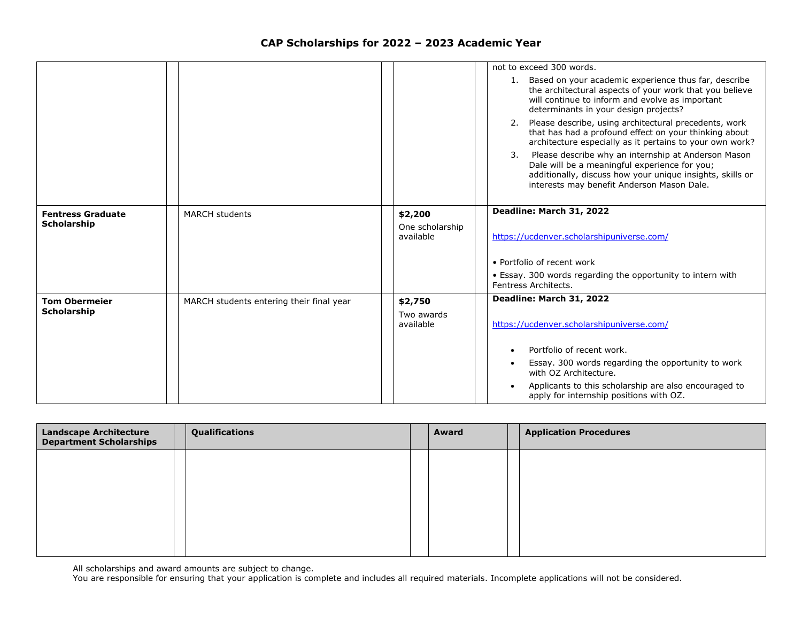|                                                |                                          |                              | not to exceed 300 words.                                                                                                                                                                                              |
|------------------------------------------------|------------------------------------------|------------------------------|-----------------------------------------------------------------------------------------------------------------------------------------------------------------------------------------------------------------------|
|                                                |                                          |                              | Based on your academic experience thus far, describe<br>1.<br>the architectural aspects of your work that you believe<br>will continue to inform and evolve as important<br>determinants in your design projects?     |
|                                                |                                          |                              | Please describe, using architectural precedents, work<br>2.<br>that has had a profound effect on your thinking about<br>architecture especially as it pertains to your own work?                                      |
|                                                |                                          |                              | Please describe why an internship at Anderson Mason<br>3.<br>Dale will be a meaningful experience for you;<br>additionally, discuss how your unique insights, skills or<br>interests may benefit Anderson Mason Dale. |
|                                                |                                          |                              | Deadline: March 31, 2022                                                                                                                                                                                              |
| <b>Fentress Graduate</b><br><b>Scholarship</b> | <b>MARCH students</b>                    | \$2,200                      |                                                                                                                                                                                                                       |
|                                                |                                          | One scholarship<br>available | https://ucdenver.scholarshipuniverse.com/                                                                                                                                                                             |
|                                                |                                          |                              | • Portfolio of recent work                                                                                                                                                                                            |
|                                                |                                          |                              | • Essay. 300 words regarding the opportunity to intern with<br>Fentress Architects.                                                                                                                                   |
| <b>Tom Obermeier</b>                           | MARCH students entering their final year | \$2,750                      | Deadline: March 31, 2022                                                                                                                                                                                              |
| <b>Scholarship</b>                             |                                          | Two awards                   |                                                                                                                                                                                                                       |
|                                                |                                          | available                    | https://ucdenver.scholarshipuniverse.com/                                                                                                                                                                             |
|                                                |                                          |                              | Portfolio of recent work.                                                                                                                                                                                             |
|                                                |                                          |                              | Essay. 300 words regarding the opportunity to work<br>with OZ Architecture.                                                                                                                                           |
|                                                |                                          |                              | Applicants to this scholarship are also encouraged to<br>apply for internship positions with OZ.                                                                                                                      |

| <b>Landscape Architecture</b><br><b>Department Scholarships</b> | Qualifications | Award | <b>Application Procedures</b> |
|-----------------------------------------------------------------|----------------|-------|-------------------------------|
|                                                                 |                |       |                               |
|                                                                 |                |       |                               |
|                                                                 |                |       |                               |
|                                                                 |                |       |                               |
|                                                                 |                |       |                               |

All scholarships and award amounts are subject to change.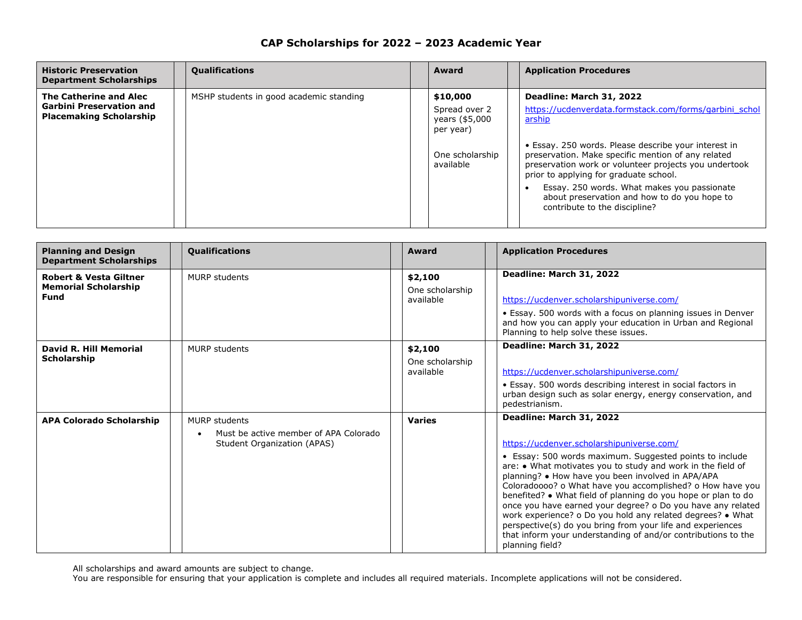| <b>Historic Preservation</b><br><b>Department Scholarships</b>                              | <b>Qualifications</b>                   | Award                                                                                    | <b>Application Procedures</b>                                                                                                                                                                                                                                                                                                                                                                                                                 |
|---------------------------------------------------------------------------------------------|-----------------------------------------|------------------------------------------------------------------------------------------|-----------------------------------------------------------------------------------------------------------------------------------------------------------------------------------------------------------------------------------------------------------------------------------------------------------------------------------------------------------------------------------------------------------------------------------------------|
| The Catherine and Alec<br><b>Garbini Preservation and</b><br><b>Placemaking Scholarship</b> | MSHP students in good academic standing | \$10,000<br>Spread over 2<br>years (\$5,000<br>per year)<br>One scholarship<br>available | Deadline: March 31, 2022<br>https://ucdenverdata.formstack.com/forms/garbini schol<br>arship<br>• Essay. 250 words. Please describe your interest in<br>preservation. Make specific mention of any related<br>preservation work or volunteer projects you undertook<br>prior to applying for graduate school.<br>Essay. 250 words. What makes you passionate<br>about preservation and how to do you hope to<br>contribute to the discipline? |

| CAP Scholarships for 2022 - 2023 Academic Year |  |  |  |
|------------------------------------------------|--|--|--|
|------------------------------------------------|--|--|--|

| <b>Planning and Design</b><br><b>Department Scholarships</b>             | <b>Qualifications</b>                                                                 | Award                                   | <b>Application Procedures</b>                                                                                                                                                                                                                                                                                                                                                                                                                                                                                                                                                                                                                                     |
|--------------------------------------------------------------------------|---------------------------------------------------------------------------------------|-----------------------------------------|-------------------------------------------------------------------------------------------------------------------------------------------------------------------------------------------------------------------------------------------------------------------------------------------------------------------------------------------------------------------------------------------------------------------------------------------------------------------------------------------------------------------------------------------------------------------------------------------------------------------------------------------------------------------|
| <b>Robert &amp; Vesta Giltner</b><br><b>Memorial Scholarship</b><br>Fund | MURP students                                                                         | \$2,100<br>One scholarship<br>available | Deadline: March 31, 2022<br>https://ucdenver.scholarshipuniverse.com/<br>• Essay. 500 words with a focus on planning issues in Denver<br>and how you can apply your education in Urban and Regional<br>Planning to help solve these issues.                                                                                                                                                                                                                                                                                                                                                                                                                       |
| David R. Hill Memorial<br>Scholarship                                    | <b>MURP</b> students                                                                  | \$2,100<br>One scholarship<br>available | Deadline: March 31, 2022<br>https://ucdenver.scholarshipuniverse.com/<br>• Essay. 500 words describing interest in social factors in<br>urban design such as solar energy, energy conservation, and<br>pedestrianism.                                                                                                                                                                                                                                                                                                                                                                                                                                             |
| <b>APA Colorado Scholarship</b>                                          | MURP students<br>Must be active member of APA Colorado<br>Student Organization (APAS) | <b>Varies</b>                           | Deadline: March 31, 2022<br>https://ucdenver.scholarshipuniverse.com/<br>• Essay: 500 words maximum. Suggested points to include<br>are: . What motivates you to study and work in the field of<br>planning? • How have you been involved in APA/APA<br>Coloradoooo? o What have you accomplished? o How have you<br>benefited? • What field of planning do you hope or plan to do<br>once you have earned your degree? o Do you have any related<br>work experience? o Do you hold any related degrees? • What<br>perspective(s) do you bring from your life and experiences<br>that inform your understanding of and/or contributions to the<br>planning field? |

All scholarships and award amounts are subject to change.